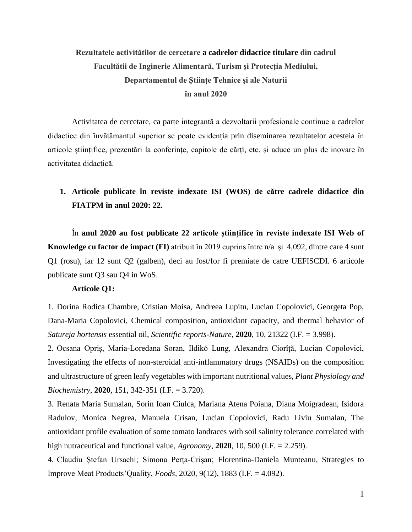# **Rezultatele activitătilor de cercetare a cadrelor didactice titulare din cadrul Facultătii de Inginerie Alimentară, Turism și Protecția Mediului, Departamentul de Științe Tehnice și ale Naturii în anul 2020**

Activitatea de cercetare, ca parte integrantă a dezvoltarii profesionale continue a cadrelor didactice din ȋnvătămantul superior se poate evidenția prin diseminarea rezultatelor acesteia în articole științifice, prezentări la conferințe, capitole de cărți, etc. și aduce un plus de inovare în activitatea didactică.

### **1. Articole publicate în reviste indexate ISI (WOS) de către cadrele didactice din FIATPM ȋn anul 2020: 22.**

În **anul 2020 au fost publicate 22 articole științifice în reviste indexate ISI Web of Knowledge cu factor de impact (FI)** atribuit în 2019 cuprins între n/a și 4,092, dintre care 4 sunt Q1 (rosu), iar 12 sunt Q2 (galben), deci au fost/for fi premiate de catre UEFISCDI. 6 articole publicate sunt Q3 sau Q4 in WoS.

### **Articole Q1:**

1. Dorina Rodica Chambre, Cristian Moisa, Andreea Lupitu, Lucian Copolovici, Georgeta Pop, Dana-Maria Copolovici, Chemical composition, antioxidant capacity, and thermal behavior of *Satureja hortensis* essential oil, *Scientific reports-Nature*, **2020**, 10, 21322 (I.F. = 3.998).

2. Ocsana Opriș, Maria-Loredana Soran, Ildikó Lung, Alexandra Ciorîță, Lucian Copolovici, Investigating the effects of non-steroidal anti-inflammatory drugs (NSAIDs) on the composition and ultrastructure of green leafy vegetables with important nutritional values, *Plant Physiology and Biochemistry*, **2020**, 151, 342-351 (I.F. = 3.720).

3. Renata Maria Sumalan, Sorin Ioan Ciulca, Mariana Atena Poiana, Diana Moigradean, Isidora Radulov, Monica Negrea, Manuela Crisan, Lucian Copolovici, Radu Liviu Sumalan, The antioxidant profile evaluation of some tomato landraces with soil salinity tolerance correlated with high nutraceutical and functional value, *Agronomy*, **2020**, 10, 500 (I.F. = 2.259).

4. Claudiu Ștefan Ursachi; Simona Perța-Crișan; Florentina-Daniela Munteanu, Strategies to Improve Meat Products'Quality, *Foods,* 2020, 9(12), 1883 (I.F. = 4.092).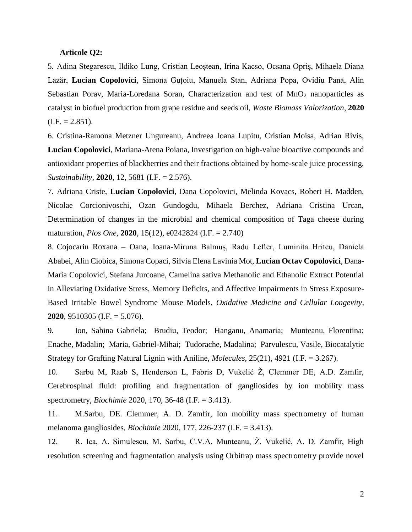#### **Articole Q2:**

5. Adina Stegarescu, Ildiko Lung, Cristian Leoștean, Irina Kacso, Ocsana Opriș, Mihaela Diana Lazăr, **Lucian Copolovici**, Simona Guțoiu, Manuela Stan, Adriana Popa, Ovidiu Pană, Alin Sebastian Porav, Maria-Loredana Soran, Characterization and test of MnO<sub>2</sub> nanoparticles as catalyst in biofuel production from grape residue and seeds oil, *Waste Biomass Valorization*, **2020**  $(I.F. = 2.851).$ 

6. Cristina-Ramona Metzner Ungureanu, Andreea Ioana Lupitu, Cristian Moisa, Adrian Rivis, **Lucian Copolovici**, Mariana-Atena Poiana, Investigation on high-value bioactive compounds and antioxidant properties of blackberries and their fractions obtained by home-scale juice processing, *Sustainability*, **2020**, 12, 5681 (I.F. = 2.576).

7. Adriana Criste, **Lucian Copolovici**, Dana Copolovici, Melinda Kovacs, Robert H. Madden, Nicolae Corcionivoschi, Ozan Gundogdu, Mihaela Berchez, Adriana Cristina Urcan, Determination of changes in the microbial and chemical composition of Taga cheese during maturation, *Plos One*, **2020**, 15(12), e0242824 (I.F. = 2.740)

8. Cojocariu Roxana – Oana, Ioana-Miruna Balmuș, Radu Lefter, Luminita Hritcu, Daniela Ababei, Alin Ciobica, Simona Copaci, Silvia Elena Lavinia Mot, **Lucian Octav Copolovici**, Dana-Maria Copolovici, Stefana Jurcoane, Camelina sativa Methanolic and Ethanolic Extract Potential in Alleviating Oxidative Stress, Memory Deficits, and Affective Impairments in Stress Exposure-Based Irritable Bowel Syndrome Mouse Models, *Oxidative Medicine and Cellular Longevity*, **2020**, 9510305 (I.F. = 5.076).

9. Ion, Sabina Gabriela; Brudiu, Teodor; Hanganu, Anamaria; Munteanu, Florentina; Enache, Madalin; Maria, Gabriel-Mihai; Tudorache, Madalina; Parvulescu, Vasile, Biocatalytic Strategy for Grafting Natural Lignin with Aniline, *Molecules*, 25(21), 4921 (I.F. = 3.267).

10. Sarbu M, Raab S, Henderson L, Fabris D, Vukelić Ž, Clemmer DE, A.D. Zamfir, Cerebrospinal fluid: profiling and fragmentation of gangliosides by ion mobility mass spectrometry, *Biochimie* 2020, 170, 36-48 (I.F. = 3.413).

11. M.Sarbu, DE. Clemmer, A. D. Zamfir, Ion mobility mass spectrometry of human melanoma gangliosides, *Biochimie* 2020, 177, 226-237 (I.F. = 3.413).

12. R. Ica, A. Simulescu, M. Sarbu, C.V.A. Munteanu, Ž. Vukelić, A. D. Zamfir, High resolution screening and fragmentation analysis using Orbitrap mass spectrometry provide novel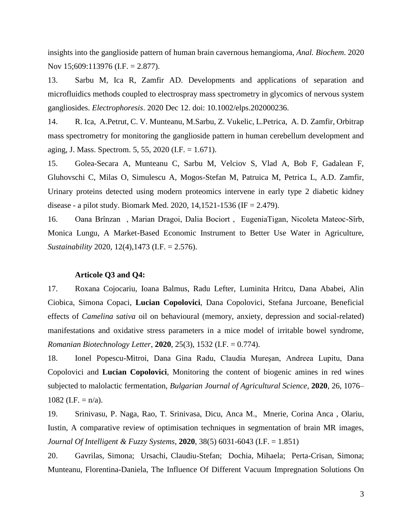insights into the ganglioside pattern of human brain cavernous hemangioma, *Anal. Biochem*. 2020 Nov 15;609:113976 (I.F. = 2.877).

13. Sarbu M, Ica R, Zamfir AD. Developments and applications of separation and microfluidics methods coupled to electrospray mass spectrometry in glycomics of nervous system gangliosides. *Electrophoresis*. 2020 Dec 12. doi: 10.1002/elps.202000236.

14. R. Ica, A.Petrut, C. V. Munteanu, M.Sarbu, Z. Vukelic, L.Petrica, A. D. Zamfir, Orbitrap mass spectrometry for monitoring the ganglioside pattern in human cerebellum development and aging, J. Mass. Spectrom. 5, 55, 2020 (I.F. = 1.671).

15. Golea-Secara A, Munteanu C, Sarbu M, Velciov S, Vlad A, Bob F, Gadalean F, Gluhovschi C, Milas O, Simulescu A, Mogos-Stefan M, Patruica M, Petrica L, A.D. Zamfir, Urinary proteins detected using modern proteomics intervene in early type 2 diabetic kidney disease - a pilot study. Biomark Med. 2020, 14,1521-1536 (IF = 2.479).

16. Oana Brînzan , Marian Dragoi, Dalia Bociort , EugeniaTigan, Nicoleta Mateoc-Sîrb, Monica Lungu, A Market-Based Economic Instrument to Better Use Water in Agriculture, *Sustainability* 2020, 12(4),1473 (I.F. = 2.576).

#### **Articole Q3 and Q4:**

17. Roxana Cojocariu, Ioana Balmus, Radu Lefter, Luminita Hritcu, Dana Ababei, Alin Ciobica, Simona Copaci, **Lucian Copolovici**, Dana Copolovici, Stefana Jurcoane, Beneficial effects of *Camelina sativa* oil on behavioural (memory, anxiety, depression and social-related) manifestations and oxidative stress parameters in a mice model of irritable bowel syndrome, *Romanian Biotechnology Letter*, **2020**, 25(3), 1532 (I.F. = 0.774).

18. Ionel Popescu-Mitroi, Dana Gina Radu, Claudia Mureşan, Andreea Lupitu, Dana Copolovici and **Lucian Copolovici**, Monitoring the content of biogenic amines in red wines subjected to malolactic fermentation, *Bulgarian Journal of Agricultural Science*, **2020**, 26, 1076– 1082 (I.F.  $= n/a$ ).

19. Srinivasu, P. Naga, Rao, T. Srinivasa, Dicu, Anca M., Mnerie, Corina Anca , Olariu, Iustin, A comparative review of optimisation techniques in segmentation of brain MR images, *Journal Of Intelligent & Fuzzy Systems*, **2020**, 38(5) 6031-6043 (I.F. = 1.851)

20. Gavrilas, Simona; Ursachi, Claudiu-Stefan; Dochia, Mihaela; Perta-Crisan, Simona; Munteanu, Florentina-Daniela, The Influence Of Different Vacuum Impregnation Solutions On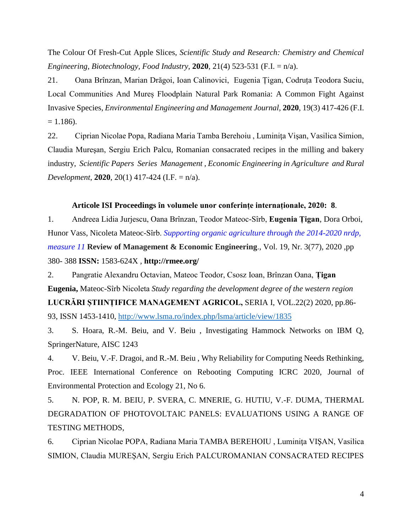The Colour Of Fresh-Cut Apple Slices, *Scientific Study and Research: Chemistry and Chemical Engineering, Biotechnology, Food Industry,* **2020**, 21(4) 523-531 (F.I. = n/a).

21. Oana Brînzan, Marian Drăgoi, Ioan Calinovici, Eugenia Țigan, Codruța Teodora Suciu, Local Communities And Mureș Floodplain Natural Park Romania: A Common Fight Against Invasive Species, *Environmental Engineering and Management Journal,* **2020**, 19(3) 417-426 (F.I.  $= 1.186$ ).

22. Ciprian Nicolae Popa, Radiana Maria Tamba Berehoiu , Luminiţa Vişan, Vasilica Simion, Claudia Mureşan, Sergiu Erich Palcu, Romanian consacrated recipes in the milling and bakery industry, *Scientific Papers Series Management , Economic Engineering in Agriculture and Rural Development*, **2020**, 20(1) 417-424 (I.F. = n/a).

#### **Articole ISI Proceedings ȋn volumele unor conferințe internaționale, 2020: 8**.

1. Andreea Lidia Jurjescu, Oana Brînzan, Teodor Mateoc-Sîrb, **Eugenia Țigan**, Dora Orboi, Hunor Vass, Nicoleta Mateoc-Sîrb. *Supporting organic agriculture through the 2014-2020 nrdp, measure 11* **Review of Management & Economic Engineering**.*,* Vol. 19, Nr. 3(77), 2020 *,*pp 380- 388 **ISSN:** 1583-624X *,* **http://rmee.org/** 

2. Pangratie Alexandru Octavian, Mateoc Teodor, Csosz Ioan, Brînzan Oana, **Țigan Eugenia,** Mateoc-Sîrb Nicoleta *Study regarding the development degree of the western region* 

**LUCRĂRI ȘTIINȚIFICE MANAGEMENT AGRICOL,** SERIA I, VOL.22(2) 2020, pp.86- 93, ISSN 1453-1410,<http://www.lsma.ro/index.php/lsma/article/view/1835>

3. S. Hoara, R.-M. Beiu, and V. Beiu , Investigating Hammock Networks on IBM Q, SpringerNature, AISC 1243

4. V. Beiu, V.-F. Dragoi, and R.-M. Beiu , Why Reliability for Computing Needs Rethinking, Proc. IEEE International Conference on Rebooting Computing ICRC 2020, Journal of Environmental Protection and Ecology 21, No 6.

5. N. POP, R. M. BEIU, P. SVERA, C. MNERIE, G. HUTIU, V.-F. DUMA, THERMAL DEGRADATION OF PHOTOVOLTAIC PANELS: EVALUATIONS USING A RANGE OF TESTING METHODS,

6. Ciprian Nicolae POPA, Radiana Maria TAMBA BEREHOIU , Luminiţa VIŞAN, Vasilica SIMION, Claudia MUREŞAN, Sergiu Erich PALCUROMANIAN CONSACRATED RECIPES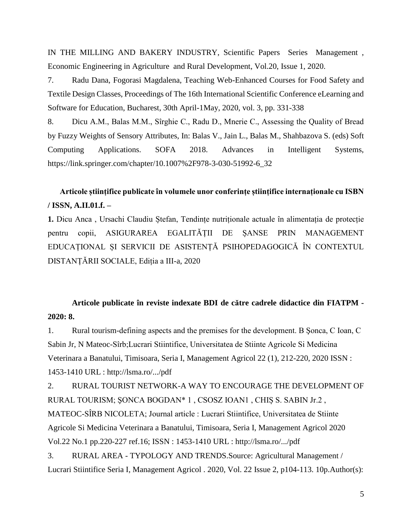IN THE MILLING AND BAKERY INDUSTRY, Scientific Papers Series Management , Economic Engineering in Agriculture and Rural Development, Vol.20, Issue 1, 2020.

7. Radu Dana, Fogorasi Magdalena, Teaching Web-Enhanced Courses for Food Safety and Textile Design Classes, Proceedings of The 16th International Scientific Conference eLearning and Software for Education, Bucharest, 30th April-1May, 2020, vol. 3, pp. 331-338

8. Dicu A.M., Balas M.M., Sîrghie C., Radu D., Mnerie C., Assessing the Quality of Bread by Fuzzy Weights of Sensory Attributes, In: Balas V., Jain L., Balas M., Shahbazova S. (eds) Soft Computing Applications. SOFA 2018. Advances in Intelligent Systems, https://link.springer.com/chapter/10.1007%2F978-3-030-51992-6\_32

## **Articole științifice publicate în volumele unor conferințe științifice internaționale cu ISBN / ISSN, A.II.01.f. –**

**1.** Dicu Anca , Ursachi Claudiu Ștefan, Tendințe nutriționale actuale în alimentația de protecție pentru copii, ASIGURAREA EGALITĂȚII DE ȘANSE PRIN MANAGEMENT EDUCAȚIONAL ȘI SERVICII DE ASISTENȚĂ PSIHOPEDAGOGICĂ ÎN CONTEXTUL DISTANȚĂRII SOCIALE, Ediția a III-a, 2020

## **Articole publicate în reviste indexate BDI de către cadrele didactice din FIATPM - 2020: 8.**

1. Rural tourism-defining aspects and the premises for the development. B Şonca, C Ioan, C Sabin Jr, N Mateoc-Sîrb;Lucrari Stiintifice, Universitatea de Stiinte Agricole Si Medicina Veterinara a Banatului, Timisoara, Seria I, Management Agricol 22 (1), 212-220, 2020 ISSN : 1453-1410 URL : http://lsma.ro/.../pdf

2. RURAL TOURIST NETWORK-A WAY TO ENCOURAGE THE DEVELOPMENT OF RURAL TOURISM; ŞONCA BOGDAN\* 1 , CSOSZ IOAN1 , CHIȘ S. SABIN Jr.2 , MATEOC-SÎRB NICOLETA; Journal article : Lucrari Stiintifice, Universitatea de Stiinte Agricole Si Medicina Veterinara a Banatului, Timisoara, Seria I, Management Agricol 2020 Vol.22 No.1 pp.220-227 ref.16; ISSN : 1453-1410 URL : http://lsma.ro/.../pdf

3. RURAL AREA - TYPOLOGY AND TRENDS.Source: Agricultural Management / Lucrari Stiintifice Seria I, Management Agricol . 2020, Vol. 22 Issue 2, p104-113. 10p.Author(s):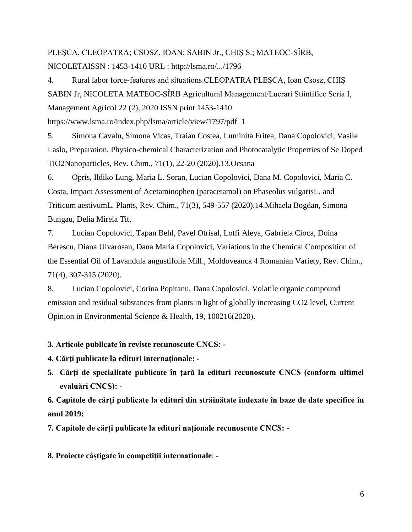# PLEŞCA, CLEOPATRA; CSOSZ, IOAN; SABIN Jr., CHIŞ S.; MATEOC-SÎRB, NICOLETAISSN : 1453-1410 URL : http://lsma.ro/.../1796

4. Rural labor force-features and situations.CLEOPATRA PLEŞCA, Ioan Csosz, CHIŞ SABIN Jr, NICOLETA MATEOC-SÎRB Agricultural Management/Lucrari Stiintifice Seria I, Management Agricol 22 (2), 2020 ISSN print 1453-1410 https://www.lsma.ro/index.php/lsma/article/view/1797/pdf\_1

5. Simona Cavalu, Simona Vicas, Traian Costea, Luminita Fritea, Dana Copolovici, Vasile Laslo, Preparation, Physico-chemical Characterization and Photocatalytic Properties of Se Doped TiO2Nanoparticles, Rev. Chim., 71(1), 22-20 (2020).13.Ocsana

6. Opris, Ildiko Lung, Maria L. Soran, Lucian Copolovici, Dana M. Copolovici, Maria C. Costa, Impact Assessment of Acetaminophen (paracetamol) on Phaseolus vulgarisL. and Triticum aestivumL. Plants, Rev. Chim., 71(3), 549-557 (2020).14.Mihaela Bogdan, Simona Bungau, Delia Mirela Tit,

7. Lucian Copolovici, Tapan Behl, Pavel Otrisal, Lotfi Aleya, Gabriela Cioca, Doina Berescu, Diana Uivarosan, Dana Maria Copolovici, Variations in the Chemical Composition of the Essential Oil of Lavandula angustifolia Mill., Moldoveanca 4 Romanian Variety, Rev. Chim., 71(4), 307-315 (2020).

8. Lucian Copolovici, Corina Popitanu, Dana Copolovici, Volatile organic compound emission and residual substances from plants in light of globally increasing CO2 level, Current Opinion in Environmental Science & Health, 19, 100216(2020).

### **3. Articole publicate în reviste recunoscute CNCS: -**

**4. Cărți publicate la edituri internaționale: -**

**5. Cărți de specialitate publicate în țară la edituri recunoscute CNCS (conform ultimei evaluări CNCS): -**

**6. Capitole de cărți publicate la edituri din străinătate indexate în baze de date specifice în anul 2019:**

**7. Capitole de cărți publicate la edituri naționale recunoscute CNCS: -**

**8. Proiecte câștigate în competiții internaționale**: -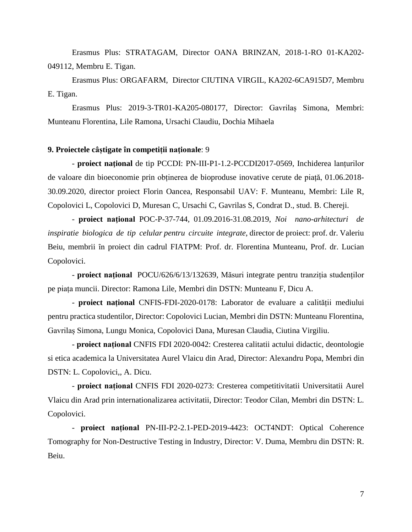Erasmus Plus: STRATAGAM, Director OANA BRINZAN, 2018-1-RO 01-KA202- 049112, Membru E. Tigan.

Erasmus Plus: ORGAFARM, Director CIUTINA VIRGIL, KA202-6CA915D7, Membru E. Tigan.

Erasmus Plus: 2019-3-TR01-KA205-080177, Director: Gavrilaș Simona, Membri: Munteanu Florentina, Lile Ramona, Ursachi Claudiu, Dochia Mihaela

#### **9. Proiectele câștigate în competiții naţionale**: 9

- **proiect naţional** de tip PCCDI: PN-III-P1-1.2-PCCDI2017-0569, Inchiderea lanțurilor de valoare din bioeconomie prin obținerea de bioproduse inovative cerute de piață, 01.06.2018- 30.09.2020, director proiect Florin Oancea, Responsabil UAV: F. Munteanu, Membri: Lile R, Copolovici L, Copolovici D, Muresan C, Ursachi C, Gavrilas S, Condrat D., stud. B. Chereji.

- **proiect naţional** POC-P-37-744, 01.09.2016-31.08.2019, *Noi nano-arhitecturi de inspiratie biologica de tip celular pentru circuite integrate*, director de proiect: prof. dr. Valeriu Beiu, membrii în proiect din cadrul FIATPM: Prof. dr. Florentina Munteanu, Prof. dr. Lucian Copolovici.

- **proiect naţional** POCU/626/6/13/132639, Măsuri integrate pentru tranziția studenților pe piața muncii. Director: Ramona Lile, Membri din DSTN: Munteanu F, Dicu A.

- **proiect național** CNFIS-FDI-2020-0178: Laborator de evaluare a calității mediului pentru practica studentilor, Director: Copolovici Lucian, Membri din DSTN: Munteanu Florentina, Gavrilaș Simona, Lungu Monica, Copolovici Dana, Muresan Claudia, Ciutina Virgiliu.

- **proiect național** CNFIS FDI 2020-0042: Cresterea calitatii actului didactic, deontologie si etica academica la Universitatea Aurel Vlaicu din Arad, Director: Alexandru Popa, Membri din DSTN: L. Copolovici,, A. Dicu.

- **proiect național** CNFIS FDI 2020-0273: Cresterea competitivitatii Universitatii Aurel Vlaicu din Arad prin internationalizarea activitatii, Director: Teodor Cilan, Membri din DSTN: L. Copolovici.

- **proiect național** PN-III-P2-2.1-PED-2019-4423: OCT4NDT: Optical Coherence Tomography for Non-Destructive Testing in Industry, Director: V. Duma, Membru din DSTN: R. Beiu.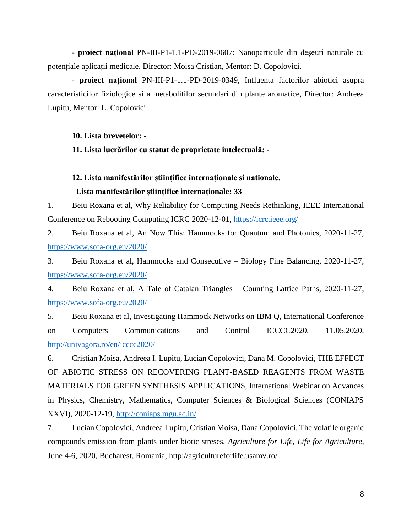- **proiect național** PN-III-P1-1.1-PD-2019-0607: Nanoparticule din deșeuri naturale cu potențiale aplicații medicale, Director: Moisa Cristian, Mentor: D. Copolovici.

- **proiect național** PN-III-P1-1.1-PD-2019-0349, Influenta factorilor abiotici asupra caracteristicilor fiziologice si a metabolitilor secundari din plante aromatice, Director: Andreea Lupitu, Mentor: L. Copolovici.

### **10. Lista brevetelor: -**

### **11. Lista lucrărilor cu statut de proprietate intelectuală: -**

### **12. Lista manifestărilor științifice internaționale si nationale.**

### **Lista manifestărilor științifice internaționale: 33**

1. Beiu Roxana et al, Why Reliability for Computing Needs Rethinking, IEEE International Conference on Rebooting Computing ICRC 2020-12-01,<https://icrc.ieee.org/>

2. Beiu Roxana et al, An Now This: Hammocks for Quantum and Photonics, 2020-11-27, <https://www.sofa-org.eu/2020/>

3. Beiu Roxana et al, Hammocks and Consecutive – Biology Fine Balancing, 2020-11-27, <https://www.sofa-org.eu/2020/>

4. Beiu Roxana et al, A Tale of Catalan Triangles – Counting Lattice Paths, 2020-11-27, <https://www.sofa-org.eu/2020/>

5. Beiu Roxana et al, Investigating Hammock Networks on IBM Q, International Conference on Computers Communications and Control ICCCC2020, 11.05.2020, <http://univagora.ro/en/icccc2020/>

6. Cristian Moisa, Andreea I. Lupitu, Lucian Copolovici, Dana M. Copolovici, THE EFFECT OF ABIOTIC STRESS ON RECOVERING PLANT-BASED REAGENTS FROM WASTE MATERIALS FOR GREEN SYNTHESIS APPLICATIONS, International Webinar on Advances in Physics, Chemistry, Mathematics, Computer Sciences & Biological Sciences (CONIAPS XXVI), 2020-12-19, <http://coniaps.mgu.ac.in/>

7. Lucian Copolovici, Andreea Lupitu, Cristian Moisa, Dana Copolovici, The volatile organic compounds emission from plants under biotic streses, *Agriculture for Life, Life for Agriculture*, June 4-6, 2020, Bucharest, Romania, http://agricultureforlife.usamv.ro/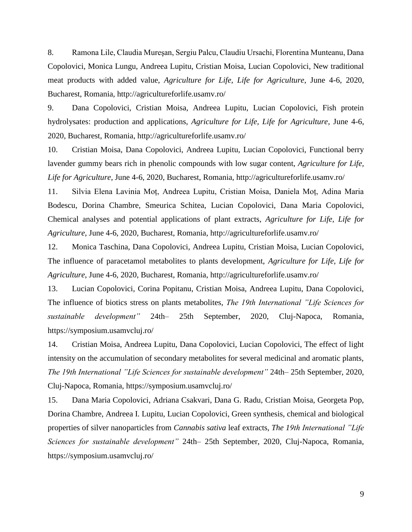8. Ramona Lile, Claudia Mureşan, Sergiu Palcu, Claudiu Ursachi, Florentina Munteanu, Dana Copolovici, Monica Lungu, Andreea Lupitu, Cristian Moisa, Lucian Copolovici, New traditional meat products with added value, *Agriculture for Life, Life for Agriculture*, June 4-6, 2020, Bucharest, Romania, http://agricultureforlife.usamv.ro/

9. Dana Copolovici, Cristian Moisa, Andreea Lupitu, Lucian Copolovici, Fish protein hydrolysates: production and applications, *Agriculture for Life, Life for Agriculture*, June 4-6, 2020, Bucharest, Romania, http://agricultureforlife.usamv.ro/

10. Cristian Moisa, Dana Copolovici, Andreea Lupitu, Lucian Copolovici, Functional berry lavender gummy bears rich in phenolic compounds with low sugar content, *Agriculture for Life, Life for Agriculture*, June 4-6, 2020, Bucharest, Romania, http://agricultureforlife.usamv.ro/

11. Silvia Elena Lavinia Moț, Andreea Lupitu, Cristian Moisa, Daniela Moț, Adina Maria Bodescu, Dorina Chambre, Smeurica Schitea, Lucian Copolovici, Dana Maria Copolovici, Chemical analyses and potential applications of plant extracts, *Agriculture for Life, Life for Agriculture*, June 4-6, 2020, Bucharest, Romania, http://agricultureforlife.usamv.ro/

12. Monica Taschina, Dana Copolovici, Andreea Lupitu, Cristian Moisa, Lucian Copolovici, The influence of paracetamol metabolites to plants development, *Agriculture for Life, Life for Agriculture*, June 4-6, 2020, Bucharest, Romania, http://agricultureforlife.usamv.ro/

13. Lucian Copolovici, Corina Popitanu, Cristian Moisa, Andreea Lupitu, Dana Copolovici, The influence of biotics stress on plants metabolites, *The 19th International "Life Sciences for sustainable development"* 24th– 25th September, 2020, Cluj-Napoca, Romania, https://symposium.usamvcluj.ro/

14. Cristian Moisa, Andreea Lupitu, Dana Copolovici, Lucian Copolovici, The effect of light intensity on the accumulation of secondary metabolites for several medicinal and aromatic plants, *The 19th International "Life Sciences for sustainable development"* 24th– 25th September, 2020, Cluj-Napoca, Romania, https://symposium.usamvcluj.ro/

15. Dana Maria Copolovici, Adriana Csakvari, Dana G. Radu, Cristian Moisa, Georgeta Pop, Dorina Chambre, Andreea I. Lupitu, Lucian Copolovici, Green synthesis, chemical and biological properties of silver nanoparticles from *Cannabis sativa* leaf extracts, *The 19th International "Life Sciences for sustainable development"* 24th– 25th September, 2020, Cluj-Napoca, Romania, https://symposium.usamvcluj.ro/

9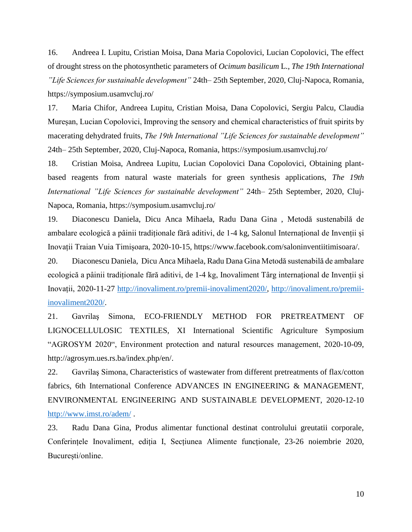16. Andreea I. Lupitu, Cristian Moisa, Dana Maria Copolovici, Lucian Copolovici, The effect of drought stress on the photosynthetic parameters of *Ocimum basilicum* L., *The 19th International "Life Sciences for sustainable development"* 24th– 25th September, 2020, Cluj-Napoca, Romania, https://symposium.usamvcluj.ro/

17. Maria Chifor, Andreea Lupitu, Cristian Moisa, Dana Copolovici, Sergiu Palcu, Claudia Mureșan, Lucian Copolovici, Improving the sensory and chemical characteristics of fruit spirits by macerating dehydrated fruits, *The 19th International "Life Sciences for sustainable development"* 24th– 25th September, 2020, Cluj-Napoca, Romania, https://symposium.usamvcluj.ro/

18. Cristian Moisa, Andreea Lupitu, Lucian Copolovici Dana Copolovici, Obtaining plantbased reagents from natural waste materials for green synthesis applications, *The 19th International "Life Sciences for sustainable development"* 24th– 25th September, 2020, Cluj-Napoca, Romania, https://symposium.usamvcluj.ro/

19. Diaconescu Daniela, Dicu Anca Mihaela, Radu Dana Gina , Metodă sustenabilă de ambalare ecologică a pâinii tradiționale fără aditivi, de 1-4 kg, Salonul Internațional de Invenții și Inovații Traian Vuia Timișoara, 2020-10-15, https://www.facebook.com/saloninventiitimisoara/.

20. Diaconescu Daniela, Dicu Anca Mihaela, Radu Dana Gina Metodă sustenabilă de ambalare ecologică a pâinii tradiționale fără aditivi, de 1-4 kg, Inovaliment Târg internațional de Invenții și Inovații, 2020-11-27 [http://inovaliment.ro/premii-inovaliment2020/, http://inovaliment.ro/premii](http://inovaliment.ro/premii-inovaliment2020/)[inovaliment2020/.](http://inovaliment.ro/premii-inovaliment2020/)

21. Gavrilaş Simona, ECO-FRIENDLY METHOD FOR PRETREATMENT OF LIGNOCELLULOSIC TEXTILES, XI International Scientific Agriculture Symposium "AGROSYM 2020", Environment protection and natural resources management, 2020-10-09, http://agrosym.ues.rs.ba/index.php/en/.

22. Gavrilaş Simona, Characteristics of wastewater from different pretreatments of flax/cotton fabrics, 6th International Conference ADVANCES IN ENGINEERING & MANAGEMENT, ENVIRONMENTAL ENGINEERING AND SUSTAINABLE DEVELOPMENT, 2020-12-10 <http://www.imst.ro/adem/> .

23. Radu Dana Gina, Produs alimentar functional destinat controlului greutatii corporale, Conferințele Inovaliment, ediția I, Secțiunea Alimente funcționale, 23-26 noiembrie 2020, București/online.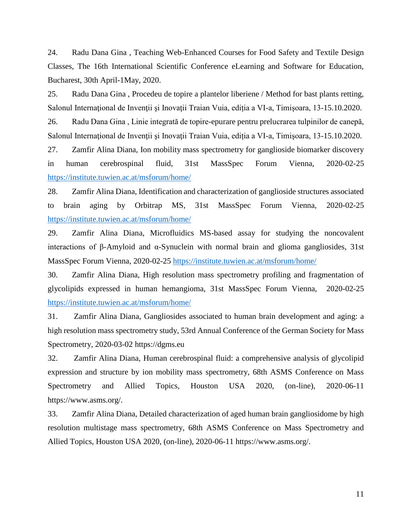24. Radu Dana Gina , Teaching Web-Enhanced Courses for Food Safety and Textile Design Classes, The 16th International Scientific Conference eLearning and Software for Education, Bucharest, 30th April-1May, 2020.

25. Radu Dana Gina , Procedeu de topire a plantelor liberiene / Method for bast plants retting, Salonul Internațional de Invenții și Inovații Traian Vuia, ediția a VI-a, Timișoara, 13-15.10.2020. 26. Radu Dana Gina , Linie integrată de topire-epurare pentru prelucrarea tulpinilor de canepă,

Salonul Internaţional de Invenţii şi Inovaţii Traian Vuia, ediția a VI-a, Timişoara, 13-15.10.2020.

27. Zamfir Alina Diana, Ion mobility mass spectrometry for ganglioside biomarker discovery in human cerebrospinal fluid, 31st MassSpec Forum Vienna, 2020-02-25 <https://institute.tuwien.ac.at/msforum/home/>

28. Zamfir Alina Diana, Identification and characterization of ganglioside structures associated to brain aging by Orbitrap MS, 31st MassSpec Forum Vienna, 2020-02-25 <https://institute.tuwien.ac.at/msforum/home/>

29. Zamfir Alina Diana, Microfluidics MS-based assay for studying the noncovalent interactions of β-Amyloid and α-Synuclein with normal brain and glioma gangliosides, 31st MassSpec Forum Vienna, 2020-02-25 <https://institute.tuwien.ac.at/msforum/home/>

30. Zamfir Alina Diana, High resolution mass spectrometry profiling and fragmentation of glycolipids expressed in human hemangioma, 31st MassSpec Forum Vienna, 2020-02-25 <https://institute.tuwien.ac.at/msforum/home/>

31. Zamfir Alina Diana, Gangliosides associated to human brain development and aging: a high resolution mass spectrometry study, 53rd Annual Conference of the German Society for Mass Spectrometry, 2020-03-02 https://dgms.eu

32. Zamfir Alina Diana, Human cerebrospinal fluid: a comprehensive analysis of glycolipid expression and structure by ion mobility mass spectrometry, 68th ASMS Conference on Mass Spectrometry and Allied Topics, Houston USA 2020, (on-line), 2020-06-11 https://www.asms.org/.

33. Zamfir Alina Diana, Detailed characterization of aged human brain gangliosidome by high resolution multistage mass spectrometry, 68th ASMS Conference on Mass Spectrometry and Allied Topics, Houston USA 2020, (on-line), 2020-06-11 https://www.asms.org/.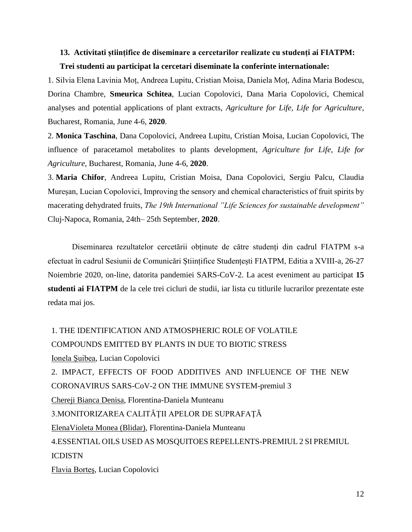## **13. Activitati științifice de diseminare a cercetarilor realizate cu studenți ai FIATPM: Trei studenti au participat la cercetari diseminate la conferinte internationale:**

1. Silvia Elena Lavinia Moț, Andreea Lupitu, Cristian Moisa, Daniela Moț, Adina Maria Bodescu, Dorina Chambre, **Smeurica Schitea**, Lucian Copolovici, Dana Maria Copolovici, Chemical analyses and potential applications of plant extracts, *Agriculture for Life, Life for Agriculture*, Bucharest, Romania, June 4-6, **2020**.

2. **Monica Taschina**, Dana Copolovici, Andreea Lupitu, Cristian Moisa, Lucian Copolovici, The influence of paracetamol metabolites to plants development, *Agriculture for Life, Life for Agriculture*, Bucharest, Romania, June 4-6, **2020**.

3. **Maria Chifor**, Andreea Lupitu, Cristian Moisa, Dana Copolovici, Sergiu Palcu, Claudia Mureșan, Lucian Copolovici, Improving the sensory and chemical characteristics of fruit spirits by macerating dehydrated fruits, *The 19th International "Life Sciences for sustainable development"* Cluj-Napoca, Romania, 24th– 25th September, **2020**.

Diseminarea rezultatelor cercetării obținute de către studenți din cadrul FIATPM s-a efectuat în cadrul Sesiunii de Comunicări Științifice Studențești FIATPM, Editia a XVIII-a, 26-27 Noiembrie 2020, on-line, datorita pandemiei SARS-CoV-2. La acest eveniment au participat **15 studenti ai FIATPM** de la cele trei cicluri de studii, iar lista cu titlurile lucrarilor prezentate este redata mai jos.

1. THE IDENTIFICATION AND ATMOSPHERIC ROLE OF VOLATILE COMPOUNDS EMITTED BY PLANTS IN DUE TO BIOTIC STRESS Ionela Şuibea, Lucian Copolovici 2. IMPACT, EFFECTS OF FOOD ADDITIVES AND INFLUENCE OF THE NEW CORONAVIRUS SARS-CoV-2 ON THE IMMUNE SYSTEM-premiul 3 Chereji Bianca Denisa, Florentina-Daniela Munteanu 3.MONITORIZAREA CALITĂŢII APELOR DE SUPRAFAŢĂ ElenaVioleta Monea (Blidar), Florentina-Daniela Munteanu 4.ESSENTIAL OILS USED AS MOSQUITOES REPELLENTS-PREMIUL 2 SI PREMIUL ICDISTN Flavia Borteş, Lucian Copolovici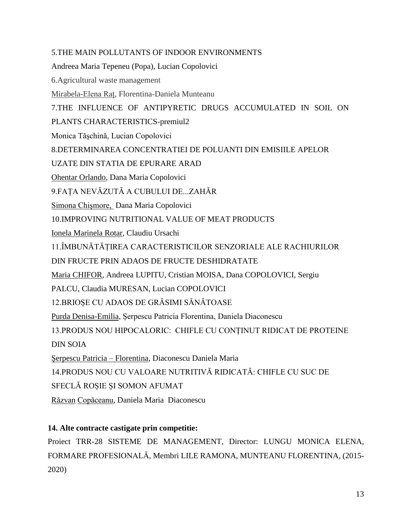### 5.THE MAIN POLLUTANTS OF INDOOR ENVIRONMENTS

Andreea Maria Tepeneu (Popa), Lucian Copolovici

6.Agricultural waste management

Mirabela-Elena Raț, Florentina-Daniela Munteanu

7.THE INFLUENCE OF ANTIPYRETIC DRUGS ACCUMULATED IN SOIL ON

PLANTS CHARACTERISTICS-premiul2

Monica Tăşchină, Lucian Copolovici

8.DETERMINAREA CONCENTRATIEI DE POLUANTI DIN EMISIILE APELOR

UZATE DIN STATIA DE EPURARE ARAD

Ohentar Orlando, Dana Maria Copolovici

9.FAȚA NEVĂZUTĂ A CUBULUI DE...ZAHĂR

Simona Chișmore, Dana Maria Copolovici

10.IMPROVING NUTRITIONAL VALUE OF MEAT PRODUCTS

Ionela Marinela Rotar, Claudiu Ursachi

11.ÎMBUNĂTĂȚIREA CARACTERISTICILOR SENZORIALE ALE RACHIURILOR

DIN FRUCTE PRIN ADAOS DE FRUCTE DESHIDRATATE

Maria CHIFOR, Andreea LUPITU, Cristian MOISA, Dana COPOLOVICI, Sergiu

PALCU, Claudia MURESAN, Lucian COPOLOVICI

12.BRIOȘE CU ADAOS DE GRĂSIMI SĂNĂTOASE

Purda Denisa-Emilia, Șerpescu Patricia Florentina, Daniela Diaconescu

13.PRODUS NOU HIPOCALORIC: CHIFLE CU CONȚINUT RIDICAT DE PROTEINE

DIN SOIA

Șerpescu Patricia – Florentina, Diaconescu Daniela Maria

14.PRODUS NOU CU VALOARE NUTRITIVĂ RIDICATĂ: CHIFLE CU SUC DE

SFECLĂ ROȘIE ȘI SOMON AFUMAT

Răzvan Copăceanu, Daniela Maria Diaconescu

### **14. Alte contracte castigate prin competitie:**

Proiect TRR-28 SISTEME DE MANAGEMENT, Director: LUNGU MONICA ELENA, FORMARE PROFESIONALĂ, Membri LILE RAMONA, MUNTEANU FLORENTINA, (2015- 2020)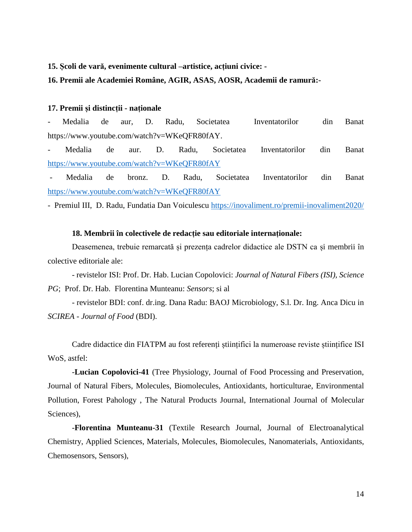#### **15. Școli de vară, evenimente cultural –artistice, acțiuni civice: -**

#### **16. Premii ale Academiei Române, AGIR, ASAS, AOSR, Academii de ramură:-**

#### **17. Premii și distincții - naționale**

- Medalia de aur, D. Radu, Societatea Inventatorilor din Banat https://www.youtube.com/watch?v=WKeQFR80fAY.

- Medalia de aur. D. Radu, Societatea Inventatorilor din Banat <https://www.youtube.com/watch?v=WKeQFR80fAY>

- Medalia de bronz. D. Radu, Societatea Inventatorilor din Banat <https://www.youtube.com/watch?v=WKeQFR80fAY>

- Premiul III, D. Radu, Fundatia Dan Voiculescu <https://inovaliment.ro/premii-inovaliment2020/>

#### **18. Membrii în colectivele de redacție sau editoriale internaționale:**

Deasemenea, trebuie remarcată și prezența cadrelor didactice ale DSTN ca și membrii în colective editoriale ale:

- revistelor ISI: Prof. Dr. Hab. Lucian Copolovici: *Journal of Natural Fibers (ISI), Science PG*; Prof. Dr. Hab. Florentina Munteanu: *Sensors*; si al

- revistelor BDI: conf. dr.ing. Dana Radu: BAOJ Microbiology, S.l. Dr. Ing. Anca Dicu in *SCIREA - Journal of Food* (BDI).

Cadre didactice din FIATPM au fost referenți științifici la numeroase reviste științifice ISI WoS, astfel:

-**Lucian Copolovici-41** (Tree Physiology, Journal of Food Processing and Preservation, Journal of Natural Fibers, Molecules, Biomolecules, Antioxidants, horticulturae, Environmental Pollution, Forest Pahology , The Natural Products Journal, International Journal of Molecular Sciences),

-**Florentina Munteanu-31** (Textile Research Journal, Journal of Electroanalytical Chemistry, Applied Sciences, Materials, Molecules, Biomolecules, Nanomaterials, Antioxidants, Chemosensors, Sensors),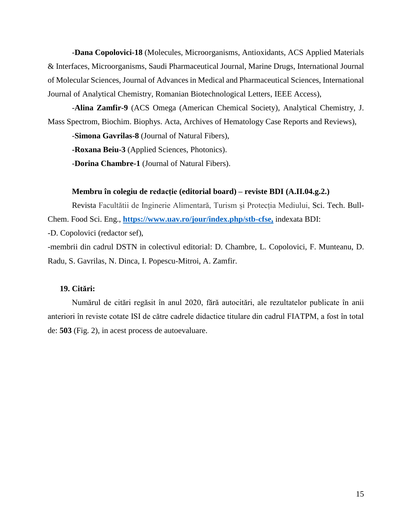-**Dana Copolovici-18** (Molecules, Microorganisms, Antioxidants, ACS Applied Materials & Interfaces, Microorganisms, Saudi Pharmaceutical Journal, Marine Drugs, International Journal of Molecular Sciences, Journal of Advances in Medical and Pharmaceutical Sciences, International Journal of Analytical Chemistry, Romanian Biotechnological Letters, IEEE Access),

-**Alina Zamfir-9** (ACS Omega (American Chemical Society), Analytical Chemistry, J. Mass Spectrom, Biochim. Biophys. Acta, Archives of Hematology Case Reports and Reviews),

-**Simona Gavrilas-8** (Journal of Natural Fibers),

**-Roxana Beiu-3** (Applied Sciences, Photonics).

-**Dorina Chambre-1** (Journal of Natural Fibers).

### **Membru în colegiu de redacție (editorial board) – reviste BDI (A.II.04.g.2.)**

Revista Facultătii de Inginerie Alimentară, Turism și Protecția Mediului, Sci. Tech. Bull-Chem. Food Sci. Eng., **[https://www.uav.ro/jour/index.php/stb-cfse,](https://www.uav.ro/jour/index.php/stb-cfse)** indexata BDI: -D. Copolovici (redactor sef),

-membrii din cadrul DSTN in colectivul editorial: D. Chambre, L. Copolovici, F. Munteanu, D. Radu, S. Gavrilas, N. Dinca, I. Popescu-Mitroi, A. Zamfir.

### **19. Citări:**

Numărul de citări regăsit în anul 2020, fără autocitări, ale rezultatelor publicate în anii anteriori în reviste cotate ISI de către cadrele didactice titulare din cadrul FIATPM, a fost în total de: **503** (Fig. 2), in acest process de autoevaluare.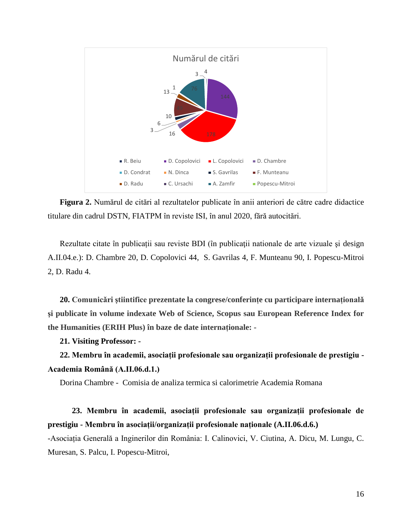

**Figura 2.** Numărul de citări al rezultatelor publicate în anii anteriori de către cadre didactice titulare din cadrul DSTN, FIATPM în reviste ISI, în anul 2020, fără autocitări.

Rezultate citate în publicații sau reviste BDI (în publicaţii nationale de arte vizuale şi design A.II.04.e.): D. Chambre 20, D. Copolovici 44, S. Gavrilas 4, F. Munteanu 90, I. Popescu-Mitroi 2, D. Radu 4.

**20. Comunicǎri ştiintifice prezentate la congrese/conferințe cu participare internaționalǎ şi publicate în volume indexate Web of Science, Scopus sau European Reference Index for the Humanities (ERIH Plus) în baze de date internaționale: -**

**21. Visiting Professor: -**

**22. Membru în academii, asociații profesionale sau organizații profesionale de prestigiu - Academia Română (A.II.06.d.1.)**

Dorina Chambre - Comisia de analiza termica si calorimetrie Academia Romana

## **23. Membru în academii, asociații profesionale sau organizații profesionale de prestigiu - Membru în asociații/organizații profesionale naționale (A.II.06.d.6.)**

-Asociația Generală a Inginerilor din România: I. Calinovici, V. Ciutina, A. Dicu, M. Lungu, C. Muresan, S. Palcu, I. Popescu-Mitroi,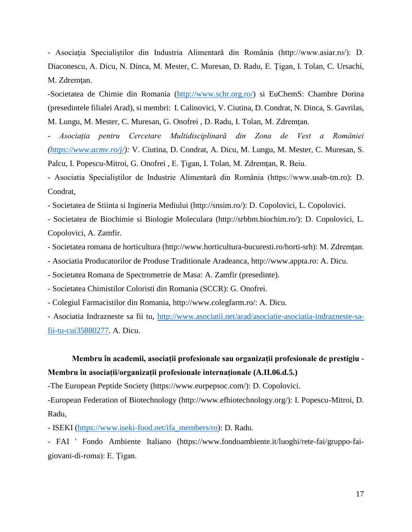- Asociaţia Specialiştilor din Industria Alimentară din România (http://www.asiar.ro/): D. Diaconescu, A. Dicu, N. Dinca, M. Mester, C. Muresan, D. Radu, E. Ţigan, I. Tolan, C. Ursachi, M. Zdremtan.

-Societatea de Chimie din Romania [\(http://www.schr.org.ro/\)](http://www.schr.org.ro/) si EuChemS: Chambre Dorina (presedintele filialei Arad), si membri: I. Calinovici, V. Ciutina, D. Condrat, N. Dinca, S. Gavrilas, M. Lungu, M. Mester, C. Muresan, G. Onofrei , D. Radu, I. Tolan, M. Zdremţan.

*- Asociația pentru Cercetare Multidisciplinară din Zona de Vest a României [\(https://www.acmv.ro/j/\)](https://www.acmv.ro/j/):* V. Ciutina, D. Condrat, A. Dicu, M. Lungu, M. Mester*,* C. Muresan, S. Palcu, I. Popescu-Mitroi, G. Onofrei , E. Ţigan, I. Tolan, M. Zdremţan, R. Beiu.

- Asociatia Specialiștilor de Industrie Alimentară din România (https://www.usab-tm.ro): D. Condrat,

- Societatea de Stiinta si Ingineria Mediului (http://snsim.ro/): D. Copolovici, L. Copolovici.

- Societatea de Biochimie si Biologie Moleculara (http://srbbm.biochim.ro/): D. Copolovici, L. Copolovici, A. Zamfir.

- Societatea romana de horticultura (http://www.horticultura-bucuresti.ro/horti-srh): M. Zdremţan.

- Asociatia Producatorilor de Produse Traditionale Aradeanca, http://www.appta.ro: A. Dicu.

- Societatea Romana de Spectrometrie de Masa: A. Zamfir (presedinte).

- Societatea Chimistilor Coloristi din Romania (SCCR): G. Onofrei.

- Colegiul Farmacistilor din Romania, http://www.colegfarm.ro/: A. Dicu.

- Asociatia Indrazneste sa fii tu, [http://www.asociatii.net/arad/asociatie-asociatia-indrazneste-sa](http://www.asociatii.net/arad/asociatie-asociatia-indrazneste-sa-fii-tu-cui35880277)[fii-tu-cui35880277.](http://www.asociatii.net/arad/asociatie-asociatia-indrazneste-sa-fii-tu-cui35880277) A. Dicu.

## **Membru în academii, asociații profesionale sau organizații profesionale de prestigiu - Membru în asociații/organizații profesionale internaționale (A.II.06.d.5.)**

-The European Peptide Society (https://www.eurpepsoc.com/): D. Copolovici.

-European Federation of Biotechnology (http://www.efbiotechnology.org/): I. Popescu-Mitroi, D. Radu,

- ISEKI [\(https://www.iseki-food.net/ifa\\_members/ro\)](https://www.iseki-food.net/ifa_members/ro): D. Radu.

- FAI ' Fondo Ambiente Italiano (https://www.fondoambiente.it/luoghi/rete-fai/gruppo-faigiovani-di-roma): E. Ţigan.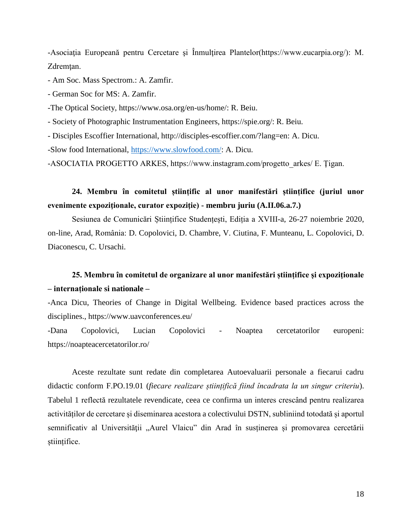-Asociația Europeană pentru Cercetare și Înmulțirea Plantelor(https://www.eucarpia.org/): M. Zdremțan.

- Am Soc. Mass Spectrom.: A. Zamfir.

- German Soc for MS: A. Zamfir.

-The Optical Society, https://www.osa.org/en-us/home/: R. Beiu.

- Society of Photographic Instrumentation Engineers, https://spie.org/: R. Beiu.

- Disciples Escoffier International, http://disciples-escoffier.com/?lang=en: A. Dicu.

-Slow food International, [https://www.slowfood.com/:](https://www.slowfood.com/) A. Dicu.

-ASOCIATIA PROGETTO ARKES, https://www.instagram.com/progetto\_arkes/ E. Ţigan.

## **24. Membru în comitetul științific al unor manifestări științifice (juriul unor evenimente expoziţionale, curator expoziţie) - membru juriu (A.II.06.a.7.)**

Sesiunea de Comunicări Științifice Studențești, Ediția a XVIII-a, 26-27 noiembrie 2020, on-line, Arad, România: D. Copolovici, D. Chambre, V. Ciutina, F. Munteanu, L. Copolovici, D. Diaconescu, C. Ursachi.

### **25. Membru în comitetul de organizare al unor manifestări științifice şi expoziţionale – internaționale si nationale –**

-Anca Dicu, Theories of Change in Digital Wellbeing. Evidence based practices across the disciplines., https://www.uavconferences.eu/

-Dana Copolovici, Lucian Copolovici - Noaptea cercetatorilor europeni: https://noapteacercetatorilor.ro/

Aceste rezultate sunt redate din completarea Autoevaluarii personale a fiecarui cadru didactic conform F.PO.19.01 (*fiecare realizare științifică fiind încadrata la un singur criteriu*). Tabelul 1 reflectă rezultatele revendicate, ceea ce confirma un interes crescând pentru realizarea activităților de cercetare și diseminarea acestora a colectivului DSTN, subliniind totodată și aportul semnificativ al Universităţii "Aurel Vlaicu" din Arad în susținerea și promovarea cercetării științifice.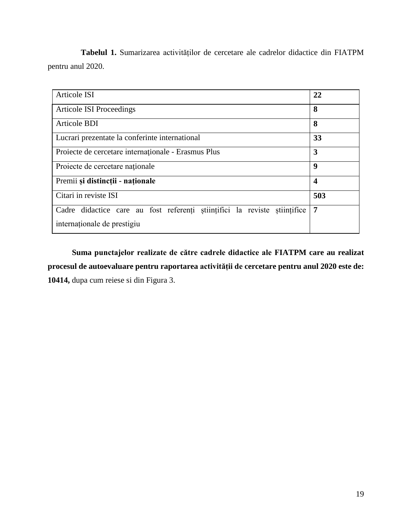**Tabelul 1.** Sumarizarea activităților de cercetare ale cadrelor didactice din FIATPM pentru anul 2020.

| <b>Articole ISI</b>                                                       | 22                      |
|---------------------------------------------------------------------------|-------------------------|
| <b>Articole ISI Proceedings</b>                                           | 8                       |
| <b>Articole BDI</b>                                                       | 8                       |
| Lucrari prezentate la conferinte international                            | 33                      |
| Projecte de cercetare internaționale - Erasmus Plus                       | 3                       |
| Projecte de cercetare naționale                                           | 9                       |
| Premii și distincții - naționale                                          | $\overline{\mathbf{4}}$ |
| Citari in reviste ISI                                                     | 503                     |
| Cadre didactice care au fost referenți științifici la reviste științifice | 7                       |
| internaționale de prestigiu                                               |                         |

**Suma punctajelor realizate de către cadrele didactice ale FIATPM care au realizat procesul de autoevaluare pentru raportarea activității de cercetare pentru anul 2020 este de: 10414,** dupa cum reiese si din Figura 3.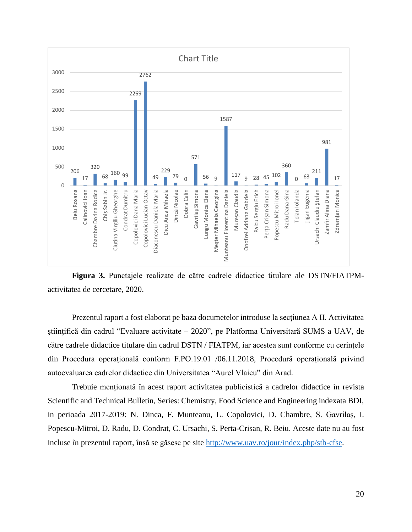

**Figura 3.** Punctajele realizate de cӑtre cadrele didactice titulare ale DSTN/FIATPMactivitatea de cercetare, 2020.

Prezentul raport a fost elaborat pe baza documetelor introduse la secţiunea A II. Activitatea ştiinţificӑ din cadrul "Evaluare activitate – 2020", pe Platforma Universitarӑ SUMS a UAV, de cӑtre cadrele didactice titulare din cadrul DSTN / FIATPM, iar acestea sunt conforme cu cerinţele din Procedura operațională conform F.PO.19.01 /06.11.2018, Procedură operațională privind [autoevaluarea cadrelor didactice din Universitatea "Aurel Vlaicu" din Arad.](http://uav.ro/files/documente/reglementari%20interne%20uav/Procedur%C4%83%20opera%C5%A3ional%C4%83%20privind%20autoevaluarea%20cadrelor%20didactice%20din%20Universitatea%20Aurel%20Vlaicu%20din%20Arad.pdf)

Trebuie menționată în acest raport activitatea publicistică a cadrelor didactice în revista Scientific and Technical Bulletin, Series: Chemistry, Food Science and Engineering indexata BDI, in perioada 2017-2019: N. Dinca, F. Munteanu, L. Copolovici, D. Chambre, S. Gavrilaș, I. Popescu-Mitroi, D. Radu, D. Condrat, C. Ursachi, S. Perta-Crisan, R. Beiu. Aceste date nu au fost incluse în prezentul raport, însă se găsesc pe site [http://www.uav.ro/jour/index.php/stb-cfse.](http://www.uav.ro/jour/index.php/stb-cfse)